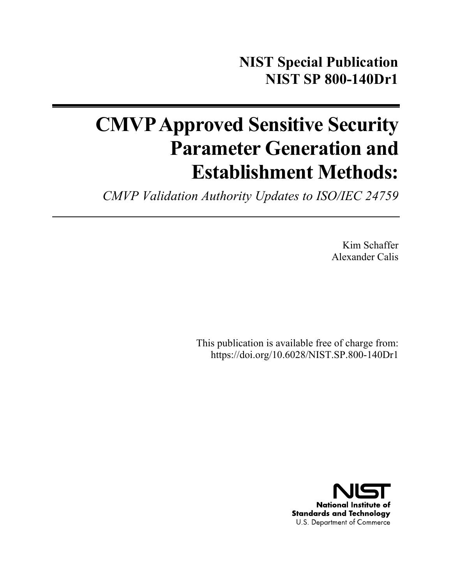# **CMVP Approved Sensitive Security Parameter Generation and Establishment Methods:**

*CMVP Validation Authority Updates to ISO/IEC 24759* 

Kim Schaffer Alexander Calis

This publication is available free of charge from: https://doi.org/10.6028/NIST.SP.800-140Dr1

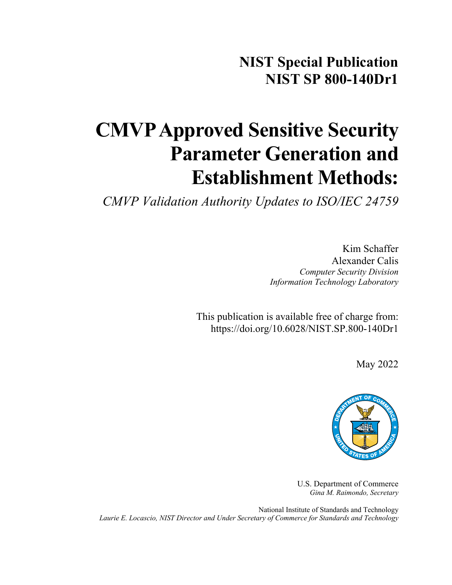**NIST Special Publication NIST SP 800-140Dr1**

# **CMVP Approved Sensitive Security Parameter Generation and Establishment Methods:**

*CMVP Validation Authority Updates to ISO/IEC 24759*

Kim Schaffer Alexander Calis *Computer Security Division Information Technology Laboratory*

This publication is available free of charge from: https://doi.org/10.6028/NIST.SP.800-140Dr1

May 2022



U.S. Department of Commerce *Gina M. Raimondo, Secretary*

National Institute of Standards and Technology *Laurie E. Locascio, NIST Director and Under Secretary of Commerce for Standards and Technology*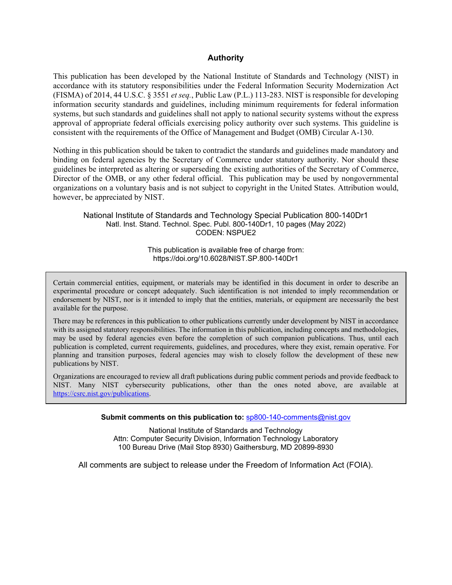#### **Authority**

This publication has been developed by the National Institute of Standards and Technology (NIST) in accordance with its statutory responsibilities under the Federal Information Security Modernization Act (FISMA) of 2014, 44 U.S.C. § 3551 *et seq.*, Public Law (P.L.) 113-283. NIST is responsible for developing information security standards and guidelines, including minimum requirements for federal information systems, but such standards and guidelines shall not apply to national security systems without the express approval of appropriate federal officials exercising policy authority over such systems. This guideline is consistent with the requirements of the Office of Management and Budget (OMB) Circular A-130.

Nothing in this publication should be taken to contradict the standards and guidelines made mandatory and binding on federal agencies by the Secretary of Commerce under statutory authority. Nor should these guidelines be interpreted as altering or superseding the existing authorities of the Secretary of Commerce, Director of the OMB, or any other federal official. This publication may be used by nongovernmental organizations on a voluntary basis and is not subject to copyright in the United States. Attribution would, however, be appreciated by NIST.

National Institute of Standards and Technology Special Publication 800-140Dr1 Natl. Inst. Stand. Technol. Spec. Publ. 800-140Dr1, 10 pages (May 2022) CODEN: NSPUE2

> This publication is available free of charge from: https://doi.org/10.6028/NIST.SP.800-140Dr1

Certain commercial entities, equipment, or materials may be identified in this document in order to describe an experimental procedure or concept adequately. Such identification is not intended to imply recommendation or endorsement by NIST, nor is it intended to imply that the entities, materials, or equipment are necessarily the best available for the purpose.

There may be references in this publication to other publications currently under development by NIST in accordance with its assigned statutory responsibilities. The information in this publication, including concepts and methodologies, may be used by federal agencies even before the completion of such companion publications. Thus, until each publication is completed, current requirements, guidelines, and procedures, where they exist, remain operative. For planning and transition purposes, federal agencies may wish to closely follow the development of these new publications by NIST.

Organizations are encouraged to review all draft publications during public comment periods and provide feedback to NIST. Many NIST cybersecurity publications, other than the ones noted above, are available at [https://csrc.nist.gov/publications.](https://csrc.nist.gov/publications)

**Submit comments on this publication to:** [sp800-140-comments@nist.gov](mailto:sp800-140-comments@nist.gov)

National Institute of Standards and Technology Attn: Computer Security Division, Information Technology Laboratory 100 Bureau Drive (Mail Stop 8930) Gaithersburg, MD 20899-8930

All comments are subject to release under the Freedom of Information Act (FOIA).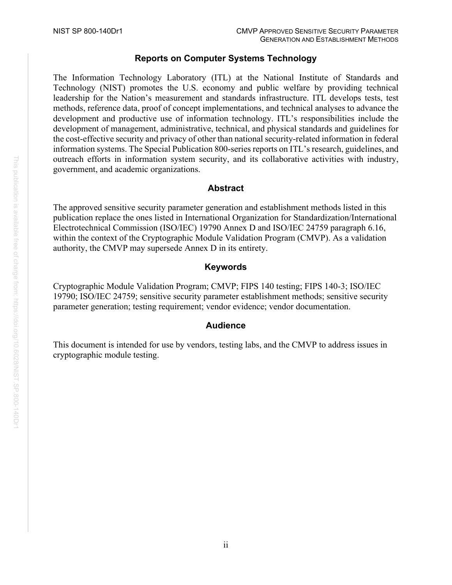# **Reports on Computer Systems Technology**

The Information Technology Laboratory (ITL) at the National Institute of Standards and Technology (NIST) promotes the U.S. economy and public welfare by providing technical leadership for the Nation's measurement and standards infrastructure. ITL develops tests, test methods, reference data, proof of concept implementations, and technical analyses to advance the development and productive use of information technology. ITL's responsibilities include the development of management, administrative, technical, and physical standards and guidelines for the cost-effective security and privacy of other than national security-related information in federal information systems. The Special Publication 800-series reports on ITL's research, guidelines, and outreach efforts in information system security, and its collaborative activities with industry, government, and academic organizations.

# **Abstract**

The approved sensitive security parameter generation and establishment methods listed in this publication replace the ones listed in International Organization for Standardization/International Electrotechnical Commission (ISO/IEC) 19790 Annex D and ISO/IEC 24759 paragraph 6.16, within the context of the Cryptographic Module Validation Program (CMVP). As a validation authority, the CMVP may supersede Annex D in its entirety.

#### **Keywords**

Cryptographic Module Validation Program; CMVP; FIPS 140 testing; FIPS 140-3; ISO/IEC 19790; ISO/IEC 24759; sensitive security parameter establishment methods; sensitive security parameter generation; testing requirement; vendor evidence; vendor documentation.

#### **Audience**

This document is intended for use by vendors, testing labs, and the CMVP to address issues in cryptographic module testing.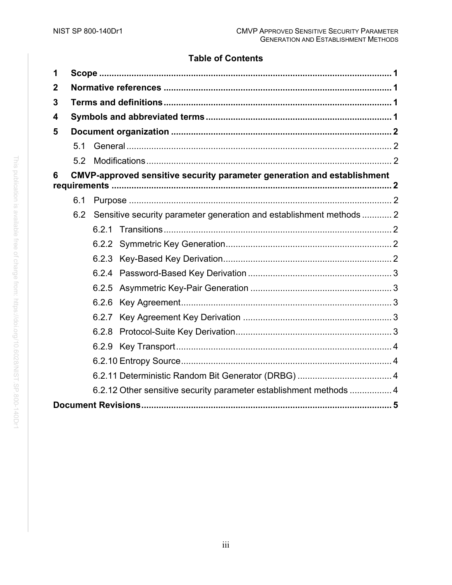# **Table of Contents**

| 1           |                                                                                |                                                                      |  |  |  |  |  |
|-------------|--------------------------------------------------------------------------------|----------------------------------------------------------------------|--|--|--|--|--|
| $\mathbf 2$ |                                                                                |                                                                      |  |  |  |  |  |
| 3           |                                                                                |                                                                      |  |  |  |  |  |
| 4           |                                                                                |                                                                      |  |  |  |  |  |
| 5           |                                                                                |                                                                      |  |  |  |  |  |
|             | 5.1                                                                            |                                                                      |  |  |  |  |  |
|             | 5.2                                                                            |                                                                      |  |  |  |  |  |
| 6           | <b>CMVP-approved sensitive security parameter generation and establishment</b> |                                                                      |  |  |  |  |  |
|             |                                                                                |                                                                      |  |  |  |  |  |
|             | 6.1                                                                            |                                                                      |  |  |  |  |  |
|             | 6.2                                                                            | Sensitive security parameter generation and establishment methods  2 |  |  |  |  |  |
|             |                                                                                |                                                                      |  |  |  |  |  |
|             |                                                                                |                                                                      |  |  |  |  |  |
|             |                                                                                |                                                                      |  |  |  |  |  |
|             |                                                                                | 6.2.4                                                                |  |  |  |  |  |
|             |                                                                                |                                                                      |  |  |  |  |  |
|             |                                                                                | 6.2.6                                                                |  |  |  |  |  |
|             |                                                                                |                                                                      |  |  |  |  |  |
|             |                                                                                | 6.2.8                                                                |  |  |  |  |  |
|             |                                                                                |                                                                      |  |  |  |  |  |
|             |                                                                                |                                                                      |  |  |  |  |  |
|             |                                                                                |                                                                      |  |  |  |  |  |
|             | 6.2.12 Other sensitive security parameter establishment methods  4             |                                                                      |  |  |  |  |  |
|             |                                                                                |                                                                      |  |  |  |  |  |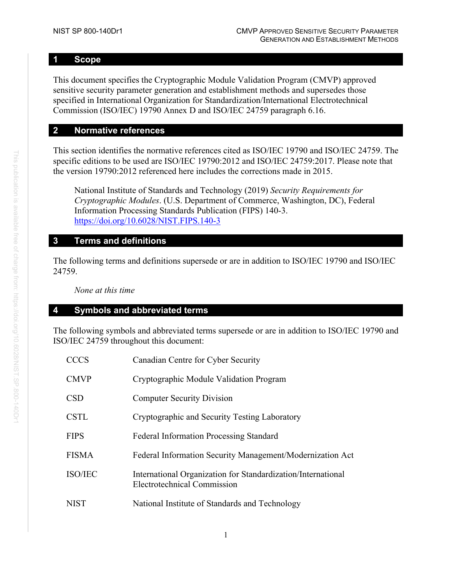# <span id="page-5-0"></span>**1 Scope**

This document specifies the Cryptographic Module Validation Program (CMVP) approved sensitive security parameter generation and establishment methods and supersedes those specified in International Organization for Standardization/International Electrotechnical Commission (ISO/IEC) 19790 Annex D and ISO/IEC 24759 paragraph 6.16.

# <span id="page-5-1"></span>**2 Normative references**

This section identifies the normative references cited as ISO/IEC 19790 and ISO/IEC 24759. The specific editions to be used are ISO/IEC 19790:2012 and ISO/IEC 24759:2017. Please note that the version 19790:2012 referenced here includes the corrections made in 2015.

National Institute of Standards and Technology (2019) *Security Requirements for Cryptographic Modules*. (U.S. Department of Commerce, Washington, DC), Federal Information Processing Standards Publication (FIPS) 140-3. <https://doi.org/10.6028/NIST.FIPS.140-3>

# <span id="page-5-2"></span>**3 Terms and definitions**

The following terms and definitions supersede or are in addition to ISO/IEC 19790 and ISO/IEC 24759.

*None at this time*

# <span id="page-5-3"></span>**4 Symbols and abbreviated terms**

The following symbols and abbreviated terms supersede or are in addition to ISO/IEC 19790 and ISO/IEC 24759 throughout this document:

| <b>CCCS</b>    | Canadian Centre for Cyber Security                                                                 |
|----------------|----------------------------------------------------------------------------------------------------|
| <b>CMVP</b>    | Cryptographic Module Validation Program                                                            |
| <b>CSD</b>     | <b>Computer Security Division</b>                                                                  |
| <b>CSTL</b>    | Cryptographic and Security Testing Laboratory                                                      |
| <b>FIPS</b>    | <b>Federal Information Processing Standard</b>                                                     |
| <b>FISMA</b>   | Federal Information Security Management/Modernization Act                                          |
| <b>ISO/IEC</b> | International Organization for Standardization/International<br><b>Electrotechnical Commission</b> |
| <b>NIST</b>    | National Institute of Standards and Technology                                                     |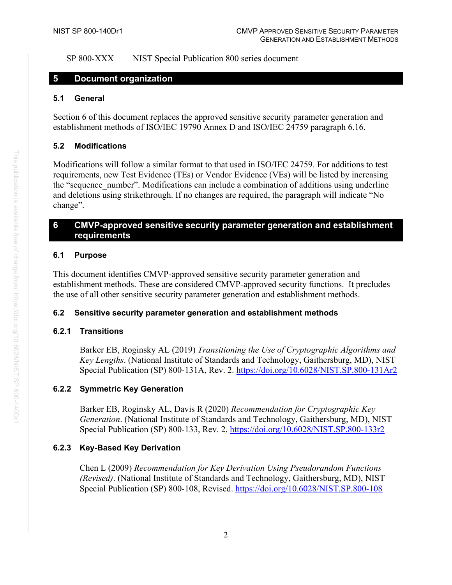SP 800-XXX NIST Special Publication 800 series document

#### <span id="page-6-0"></span>**5 Document organization**

#### <span id="page-6-1"></span>**5.1 General**

Section 6 of this document replaces the approved sensitive security parameter generation and establishment methods of ISO/IEC 19790 Annex D and ISO/IEC 24759 paragraph 6.16.

#### <span id="page-6-2"></span>**5.2 Modifications**

Modifications will follow a similar format to that used in ISO/IEC 24759. For additions to test requirements, new Test Evidence (TEs) or Vendor Evidence (VEs) will be listed by increasing the "sequence number". Modifications can include a combination of additions using underline and deletions using strikethrough. If no changes are required, the paragraph will indicate "No change".

# <span id="page-6-3"></span>**6 CMVP-approved sensitive security parameter generation and establishment requirements**

#### <span id="page-6-4"></span>**6.1 Purpose**

This document identifies CMVP-approved sensitive security parameter generation and establishment methods. These are considered CMVP-approved security functions. It precludes the use of all other sensitive security parameter generation and establishment methods.

#### <span id="page-6-5"></span>**6.2 Sensitive security parameter generation and establishment methods**

#### <span id="page-6-6"></span>**6.2.1 Transitions**

Barker EB, Roginsky AL (2019) *Transitioning the Use of Cryptographic Algorithms and Key Lengths*. (National Institute of Standards and Technology, Gaithersburg, MD), NIST Special Publication (SP) 800-131A, Rev. 2.<https://doi.org/10.6028/NIST.SP.800-131Ar2>

# <span id="page-6-7"></span>**6.2.2 Symmetric Key Generation**

Barker EB, Roginsky AL, Davis R (2020) *Recommendation for Cryptographic Key Generation*. (National Institute of Standards and Technology, Gaithersburg, MD), NIST Special Publication (SP) 800-133, Rev. 2.<https://doi.org/10.6028/NIST.SP.800-133r2>

#### <span id="page-6-8"></span>**6.2.3 Key-Based Key Derivation**

Chen L (2009) *Recommendation for Key Derivation Using Pseudorandom Functions (Revised)*. (National Institute of Standards and Technology, Gaithersburg, MD), NIST Special Publication (SP) 800-108, Revised.<https://doi.org/10.6028/NIST.SP.800-108>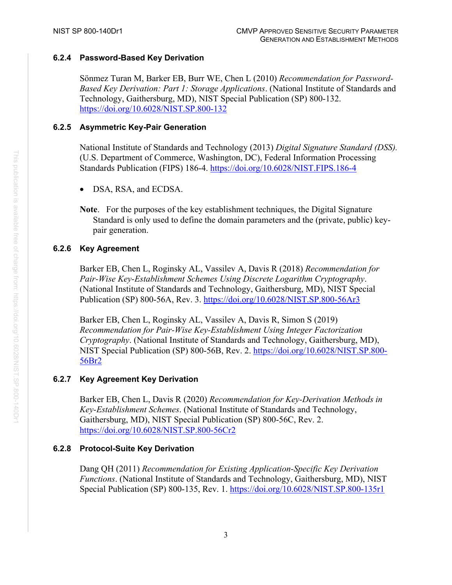#### <span id="page-7-0"></span>**6.2.4 Password-Based Key Derivation**

Sönmez Turan M, Barker EB, Burr WE, Chen L (2010) *Recommendation for Password-Based Key Derivation: Part 1: Storage Applications*. (National Institute of Standards and Technology, Gaithersburg, MD), NIST Special Publication (SP) 800-132. <https://doi.org/10.6028/NIST.SP.800-132>

#### <span id="page-7-1"></span>**6.2.5 Asymmetric Key-Pair Generation**

National Institute of Standards and Technology (2013) *Digital Signature Standard (DSS).* (U.S. Department of Commerce, Washington, DC), Federal Information Processing Standards Publication (FIPS) 186-4.<https://doi.org/10.6028/NIST.FIPS.186-4>

- DSA, RSA, and ECDSA.
- **Note**. For the purposes of the key establishment techniques, the Digital Signature Standard is only used to define the domain parameters and the (private, public) keypair generation.

#### <span id="page-7-2"></span>**6.2.6 Key Agreement**

Barker EB, Chen L, Roginsky AL, Vassilev A, Davis R (2018) *Recommendation for Pair-Wise Key-Establishment Schemes Using Discrete Logarithm Cryptography*. (National Institute of Standards and Technology, Gaithersburg, MD), NIST Special Publication (SP) 800-56A, Rev. 3.<https://doi.org/10.6028/NIST.SP.800-56Ar3>

Barker EB, Chen L, Roginsky AL, Vassilev A, Davis R, Simon S (2019) *Recommendation for Pair-Wise Key-Establishment Using Integer Factorization Cryptography*. (National Institute of Standards and Technology, Gaithersburg, MD), NIST Special Publication (SP) 800-56B, Rev. 2. [https://doi.org/10.6028/NIST.SP.800-](https://doi.org/10.6028/NIST.SP.800-56Br2) [56Br2](https://doi.org/10.6028/NIST.SP.800-56Br2)

#### <span id="page-7-3"></span>**6.2.7 Key Agreement Key Derivation**

Barker EB, Chen L, Davis R (2020) *Recommendation for Key-Derivation Methods in Key-Establishment Schemes*. (National Institute of Standards and Technology, Gaithersburg, MD), NIST Special Publication (SP) 800-56C, Rev. 2. <https://doi.org/10.6028/NIST.SP.800-56Cr2>

# <span id="page-7-4"></span>**6.2.8 Protocol-Suite Key Derivation**

Dang QH (2011) *Recommendation for Existing Application-Specific Key Derivation Functions*. (National Institute of Standards and Technology, Gaithersburg, MD), NIST Special Publication (SP) 800-135, Rev. 1.<https://doi.org/10.6028/NIST.SP.800-135r1>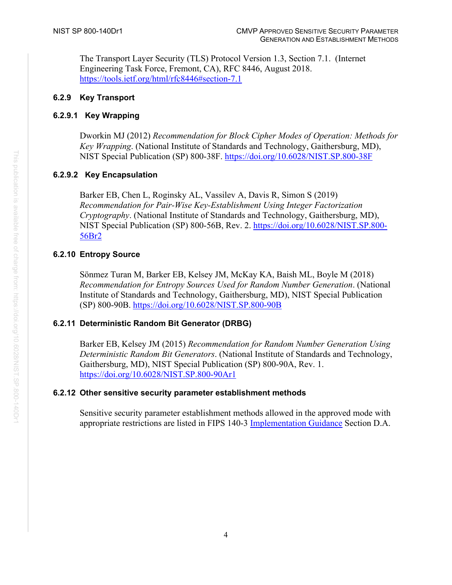The Transport Layer Security (TLS) Protocol Version 1.3, Section 7.1. (Internet Engineering Task Force, Fremont, CA), RFC 8446, August 2018. <https://tools.ietf.org/html/rfc8446#section-7.1>

# <span id="page-8-0"></span>**6.2.9 Key Transport**

# **6.2.9.1 Key Wrapping**

Dworkin MJ (2012) *Recommendation for Block Cipher Modes of Operation: Methods for Key Wrapping*. (National Institute of Standards and Technology, Gaithersburg, MD), NIST Special Publication (SP) 800-38F.<https://doi.org/10.6028/NIST.SP.800-38F>

# **6.2.9.2 Key Encapsulation**

Barker EB, Chen L, Roginsky AL, Vassilev A, Davis R, Simon S (2019) *Recommendation for Pair-Wise Key-Establishment Using Integer Factorization Cryptography*. (National Institute of Standards and Technology, Gaithersburg, MD), NIST Special Publication (SP) 800-56B, Rev. 2. [https://doi.org/10.6028/NIST.SP.800-](https://doi.org/10.6028/NIST.SP.800-56Br2) [56Br2](https://doi.org/10.6028/NIST.SP.800-56Br2)

# <span id="page-8-1"></span>**6.2.10 Entropy Source**

Sönmez Turan M, Barker EB, Kelsey JM, McKay KA, Baish ML, Boyle M (2018) *Recommendation for Entropy Sources Used for Random Number Generation*. (National Institute of Standards and Technology, Gaithersburg, MD), NIST Special Publication (SP) 800-90B.<https://doi.org/10.6028/NIST.SP.800-90B>

#### <span id="page-8-2"></span>**6.2.11 Deterministic Random Bit Generator (DRBG)**

Barker EB, Kelsey JM (2015) *Recommendation for Random Number Generation Using Deterministic Random Bit Generators*. (National Institute of Standards and Technology, Gaithersburg, MD), NIST Special Publication (SP) 800-90A, Rev. 1. <https://doi.org/10.6028/NIST.SP.800-90Ar1>

#### <span id="page-8-3"></span>**6.2.12 Other sensitive security parameter establishment methods**

Sensitive security parameter establishment methods allowed in the approved mode with appropriate restrictions are listed in FIPS 140-3 [Implementation Guidance](https://csrc.nist.gov/CSRC/media/Projects/cryptographic-module-validation-program/documents/fips%20140-3/FIPS%20140-3%20IG.pdf#D.A%20Acceptable%20SSP%20Establishment%20Protocols) Section D.A.